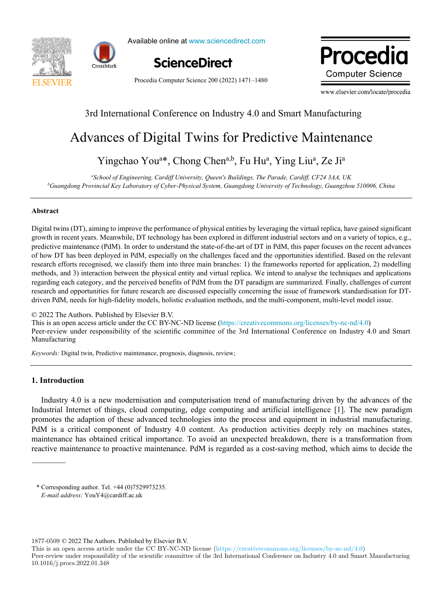



Available online at www.sciencedirect.com



Procedia Computer Science 200 (2022) 1471–1480

**Computer Science** Procedia

www.elsevier.com/locate/procedia

## 3rd International Conference on Industry 4.0 and Smart Manufacturing

## Advances of Digital Twins for Predictive Maintenance Advances of Digital Twins for Predictive Maintenance

# Yingchao You<sup>a\*</sup>, Chong Chen<sup>a,b</sup>, Fu Hu<sup>a</sup>, Ying Liu<sup>a</sup>, Ze Ji<sup>a</sup>

Yingchao Youa \*, Chong Chena,b , Fu Hua , Ying Liua , Ze Jia *a School of Engineering, Cardiff University, Queen's Buildings, The Parade, Cardiff, CF24 3AA, UK* <sup>b</sup>Guangdong Provincial Key Laboratory of Cyber-Physical System, Guangdong University of Technology, Guangzhou 510006, China *Guangdong Provincial Key Laboratory of Cyber-Physical System, Guangdong University of Technology, Guangzhou 510006, China*

#### **Abstract**

growth in recent years. Meanwhile, DT technology has been explored in different industrial sectors and on a variety of topics, e.g., predictive maintenance (PdM). In order to understand the state-of-the-art of DT in PdM, this paper focuses on the recent advances of how DT has been deployed in PdM, especially on the challenges faced and the opportunities identified. Based on the relevant research efforts recognised, we classify them into three main branches: 1) the frameworks reported for application, 2) modelling methods, and 3) interaction between the physical entity and virtual replica. We intend to analyse the techniques and applications regarding each category, and the perceived benefits of PdM from the DT paradigm are summarized. Finally, challenges of current research and opportunities for future research are discussed especially concerning the issue of framework standardisation for DTdriven PdM, needs for high-fidelity models, holistic evaluation methods, and the multi-component, multi-level model issue. Digital twins (DT), aiming to improve the performance of physical entities by leveraging the virtual replica, have gained significant

© 2022 The Authors. Published by Elsevier B.V. C 2022 The Authors. Published by Elsevier B.V.<br>This is an open access article under the CC BY-NC-ND license (https://creativecommons.org/licenses/by-nc-nd/4.0) Peer-review under responsibility of the scientific committee of the 3rd International Conference on Industry 4.0 and Smart Manufacturing Manufacturing Peer-review under responsibility of the scientific committee of the 3rd International Conference on Industry 4.0 and Smart Manufacturing Thus is an open access anche under the  $\sim$  D<sub>T</sub>-N<sub>N</sub>-N<sub>D</sub> International Conference on Industry 4.0 and  $\sim$  0 and  $\sim$  0 and  $\sim$  0 and  $\sim$  0 and  $\sim$ *Keywords:* Digital twin, Predictive maintenance, prognosis, diagnosis, review;

*Keywords:* Digital twin, Predictive maintenance, prognosis, diagnosis, review;

#### **1. Introduction**

Industry 4.0 is a new modernisation and computerisation trend of manufacturing driven by the advances of the Industrial Internet of things, cloud computing, edge computing and artificial intelligence [1]. The new paradigm promotes the adaption of these advanced technologies into the process and equipment in industrial manufacturing. PdM is a critical component of Industry 4.0 content. As production activities deeply rely on machines states, maintenance has obtained critical importance. To avoid an unexpected breakdown, there is a transformation from reactive maintenance to proactive maintenance. PdM is regarded as a cost-saving method, which aims to decide the Industry 4.0 is a new modernisation and computerisation trend of manufacturing driven by the advances of the Industrial Internet of things, cloud computing, edge computing and artificial intelligence [1]. The new paradigm

1877-0509 © 2022 The Authors. Published by Elsevier B.V.

This is an open access article under the CC BY-NC-ND license (https://creativecommons.org/licenses/by-nc-nd/4.0)

Peer-review under responsibility of the scientific committee of the 3rd International Conference on Industry 4.0 and Smart Manufacturing 10.1016/j.procs.2022.01.348

<sup>\*</sup> Corresponding author. Tel. +44 (0)7529973235. *E-mail address:* YouY4@cardiff.ac.uk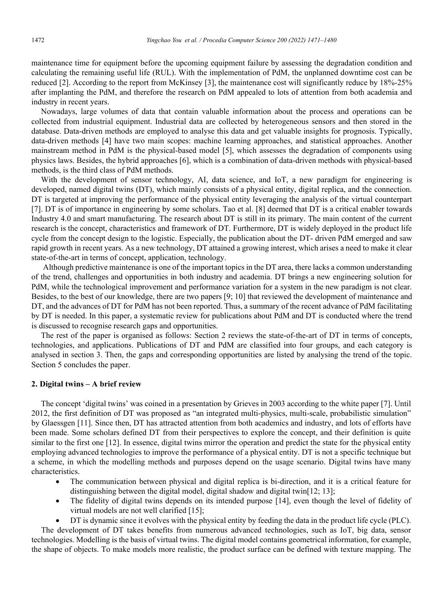maintenance time for equipment before the upcoming equipment failure by assessing the degradation condition and calculating the remaining useful life (RUL). With the implementation of PdM, the unplanned downtime cost can be reduced [2]. According to the report from McKinsey [3], the maintenance cost will significantly reduce by 18%-25% after implanting the PdM, and therefore the research on PdM appealed to lots of attention from both academia and industry in recent years.

Nowadays, large volumes of data that contain valuable information about the process and operations can be collected from industrial equipment. Industrial data are collected by heterogeneous sensors and then stored in the database. Data-driven methods are employed to analyse this data and get valuable insights for prognosis. Typically, data-driven methods [4] have two main scopes: machine learning approaches, and statistical approaches. Another mainstream method in PdM is the physical-based model [5], which assesses the degradation of components using physics laws. Besides, the hybrid approaches [6], which is a combination of data-driven methods with physical-based methods, is the third class of PdM methods.

With the development of sensor technology, AI, data science, and IoT, a new paradigm for engineering is developed, named digital twins (DT), which mainly consists of a physical entity, digital replica, and the connection. DT is targeted at improving the performance of the physical entity leveraging the analysis of the virtual counterpart [7]. DT is of importance in engineering by some scholars. Tao et al. [8] deemed that DT is a critical enabler towards Industry 4.0 and smart manufacturing. The research about DT is still in its primary. The main content of the current research is the concept, characteristics and framework of DT. Furthermore, DT is widely deployed in the product life cycle from the concept design to the logistic. Especially, the publication about the DT- driven PdM emerged and saw rapid growth in recent years. As a new technology, DT attained a growing interest, which arises a need to make it clear state-of-the-art in terms of concept, application, technology.

Although predictive maintenance is one of the important topics in the DT area, there lacks a common understanding of the trend, challenges and opportunities in both industry and academia. DT brings a new engineering solution for PdM, while the technological improvement and performance variation for a system in the new paradigm is not clear. Besides, to the best of our knowledge, there are two papers [9; 10] that reviewed the development of maintenance and DT, and the advances of DT for PdM has not been reported. Thus, a summary of the recent advance of PdM facilitating by DT is needed. In this paper, a systematic review for publications about PdM and DT is conducted where the trend is discussed to recognise research gaps and opportunities.

The rest of the paper is organised as follows: Section 2 reviews the state-of-the-art of DT in terms of concepts, technologies, and applications. Publications of DT and PdM are classified into four groups, and each category is analysed in section 3. Then, the gaps and corresponding opportunities are listed by analysing the trend of the topic. Section 5 concludes the paper.

#### **2. Digital twins – A brief review**

The concept 'digital twins' was coined in a presentation by Grieves in 2003 according to the white paper [7]. Until 2012, the first definition of DT was proposed as "an integrated multi-physics, multi-scale, probabilistic simulation" by Glaessgen [11]. Since then, DT has attracted attention from both academics and industry, and lots of efforts have been made. Some scholars defined DT from their perspectives to explore the concept, and their definition is quite similar to the first one [12]. In essence, digital twins mirror the operation and predict the state for the physical entity employing advanced technologies to improve the performance of a physical entity. DT is not a specific technique but a scheme, in which the modelling methods and purposes depend on the usage scenario. Digital twins have many characteristics.

- The communication between physical and digital replica is bi-direction, and it is a critical feature for distinguishing between the digital model, digital shadow and digital twin[12; 13];
- The fidelity of digital twins depends on its intended purpose [14], even though the level of fidelity of virtual models are not well clarified [15];
- DT is dynamic since it evolves with the physical entity by feeding the data in the product life cycle (PLC).

The development of DT takes benefits from numerous advanced technologies, such as IoT, big data, sensor technologies. Modelling is the basis of virtual twins. The digital model contains geometrical information, for example, the shape of objects. To make models more realistic, the product surface can be defined with texture mapping. The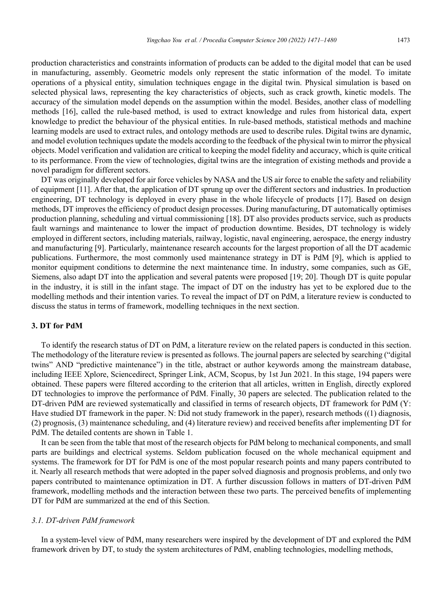production characteristics and constraints information of products can be added to the digital model that can be used in manufacturing, assembly. Geometric models only represent the static information of the model. To imitate operations of a physical entity, simulation techniques engage in the digital twin. Physical simulation is based on selected physical laws, representing the key characteristics of objects, such as crack growth, kinetic models. The accuracy of the simulation model depends on the assumption within the model. Besides, another class of modelling methods [16], called the rule-based method, is used to extract knowledge and rules from historical data, expert knowledge to predict the behaviour of the physical entities. In rule-based methods, statistical methods and machine learning models are used to extract rules, and ontology methods are used to describe rules. Digital twins are dynamic, and model evolution techniques update the models according to the feedback of the physical twin to mirror the physical objects. Model verification and validation are critical to keeping the model fidelity and accuracy, which is quite critical to its performance. From the view of technologies, digital twins are the integration of existing methods and provide a novel paradigm for different sectors.

DT was originally developed for air force vehicles by NASA and the US air force to enable the safety and reliability of equipment [11]. After that, the application of DT sprung up over the different sectors and industries. In production engineering, DT technology is deployed in every phase in the whole lifecycle of products [17]. Based on design methods, DT improves the efficiency of product design processes. During manufacturing, DT automatically optimises production planning, scheduling and virtual commissioning [18]. DT also provides products service, such as products fault warnings and maintenance to lower the impact of production downtime. Besides, DT technology is widely employed in different sectors, including materials, railway, logistic, naval engineering, aerospace, the energy industry and manufacturing [9]. Particularly, maintenance research accounts for the largest proportion of all the DT academic publications. Furthermore, the most commonly used maintenance strategy in DT is PdM [9], which is applied to monitor equipment conditions to determine the next maintenance time. In industry, some companies, such as GE, Siemens, also adapt DT into the application and several patents were proposed [19; 20]. Though DT is quite popular in the industry, it is still in the infant stage. The impact of DT on the industry has yet to be explored due to the modelling methods and their intention varies. To reveal the impact of DT on PdM, a literature review is conducted to discuss the status in terms of framework, modelling techniques in the next section.

#### **3. DT for PdM**

To identify the research status of DT on PdM, a literature review on the related papers is conducted in this section. The methodology of the literature review is presented as follows. The journal papers are selected by searching ("digital twins" AND "predictive maintenance") in the title, abstract or author keywords among the mainstream database, including IEEE Xplore, Sciencedirect, Springer Link, ACM, Scopus, by 1st Jun 2021. In this stage, 194 papers were obtained. These papers were filtered according to the criterion that all articles, written in English, directly explored DT technologies to improve the performance of PdM. Finally, 30 papers are selected. The publication related to the DT-driven PdM are reviewed systematically and classified in terms of research objects, DT framework for PdM (Y: Have studied DT framework in the paper. N: Did not study framework in the paper), research methods ((1) diagnosis, (2) prognosis, (3) maintenance scheduling, and (4) literature review) and received benefits after implementing DT for PdM. The detailed contents are shown in Table 1.

It can be seen from the table that most of the research objects for PdM belong to mechanical components, and small parts are buildings and electrical systems. Seldom publication focused on the whole mechanical equipment and systems. The framework for DT for PdM is one of the most popular research points and many papers contributed to it. Nearly all research methods that were adopted in the paper solved diagnosis and prognosis problems, and only two papers contributed to maintenance optimization in DT. A further discussion follows in matters of DT-driven PdM framework, modelling methods and the interaction between these two parts. The perceived benefits of implementing DT for PdM are summarized at the end of this Section.

#### *3.1. DT-driven PdM framework*

In a system-level view of PdM, many researchers were inspired by the development of DT and explored the PdM framework driven by DT, to study the system architectures of PdM, enabling technologies, modelling methods,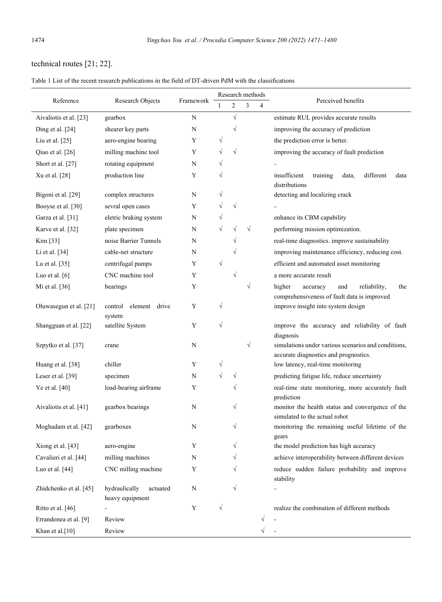### technical routes [21; 22].

| Table 1 List of the recent research publications in the field of DT-driven PdM with the classifications |  |  |  |
|---------------------------------------------------------------------------------------------------------|--|--|--|
|---------------------------------------------------------------------------------------------------------|--|--|--|

| Reference              | Research Objects                             | Framework | Research methods |           |           |           |                                                                                                 |  |
|------------------------|----------------------------------------------|-----------|------------------|-----------|-----------|-----------|-------------------------------------------------------------------------------------------------|--|
|                        |                                              |           | 1                | 2         | 3         | 4         | Perceived benefits                                                                              |  |
| Aivaliotis et al. [23] | gearbox                                      | N         |                  | $\sqrt{}$ |           |           | estimate RUL provides accurate results                                                          |  |
| Ding et al. [24]       | shearer key parts                            | N         |                  | $\sqrt{}$ |           |           | improving the accuracy of prediction                                                            |  |
| Liu et al. $[25]$      | aero-engine bearing                          | Y         | $\sqrt{}$        |           |           |           | the prediction error is better.                                                                 |  |
| Qiao et al. [26]       | milling machine tool                         | Y         | $\sqrt{}$        | $\sqrt{}$ |           |           | improving the accuracy of fault prediction                                                      |  |
| Short et al. [27]      | rotating equipment                           | N         | $\sqrt{}$        |           |           |           |                                                                                                 |  |
| Xu et al. [28]         | production line                              | Y         | $\sqrt{}$        |           |           |           | insufficient<br>training<br>different<br>data<br>data,<br>distributions                         |  |
| Bigoni et al. [29]     | complex structures                           | N         | $\sqrt{}$        |           |           |           | detecting and localizing crack                                                                  |  |
| Booyse et al. [30]     | sevral open cases                            | Y         | $\sqrt{}$        | $\sqrt{}$ |           |           |                                                                                                 |  |
| Garza et al. [31]      | eletric braking system                       | N         | $\sqrt{}$        |           |           |           | enhance its CBM capability                                                                      |  |
| Karve et al. [32]      | plate specimen                               | N         | $\sqrt{}$        | $\sqrt{}$ | $\sqrt{}$ |           | performing mission optimization.                                                                |  |
| Kim [33]               | noise Barrier Tunnels                        | N         |                  | $\sqrt{}$ |           |           | real-time diagnostics. improve sustainability                                                   |  |
| Li et al. [34]         | cable-net structure                          | N         |                  | √         |           |           | improving maintenance efficiency, reducing cost.                                                |  |
| Lu et al. $[35]$       | centrifugal pumps                            | Y         | $\sqrt{}$        |           |           |           | efficient and automated asset monitoring                                                        |  |
| Luo et al. $[6]$       | CNC machine tool                             | Y         |                  | $\sqrt{}$ |           |           | a more accurate result                                                                          |  |
| Mi et al. [36]         | bearings                                     | Y         |                  |           | $\sqrt{}$ |           | higher<br>and<br>reliability,<br>the<br>accuracy<br>comprehensiveness of fault data is improved |  |
| Oluwasegun et al. [21] | control<br>element drive<br>system           | Y         | $\sqrt{}$        |           |           |           | improve insight into system design                                                              |  |
| Shangguan et al. [22]  | satellite System                             | Y         | $\sqrt{}$        |           |           |           | improve the accuracy and reliability of fault<br>diagnosis                                      |  |
| Szpytko et al. [37]    | crane                                        | N         |                  |           | $\sqrt{}$ |           | simulations under various scenarios and conditions,<br>accurate diagnostics and prognostics.    |  |
| Huang et al. [38]      | chiller                                      | Y         | $\sqrt{}$        |           |           |           | low latency, real-time monitoring                                                               |  |
| Leser et al. [39]      | specimen                                     | N         | $\sqrt{}$        | $\sqrt{}$ |           |           | predicting fatigue life, reduce uncertainty                                                     |  |
| Ye et al. [40]         | load-bearing airframe                        | Y         |                  | $\sqrt{}$ |           |           | real-time state monitoring, more accurately fault<br>prediction                                 |  |
| Aivaliotis et al. [41] | gearbox bearings                             | N         |                  | $\sqrt{}$ |           |           | monitor the health status and convergence of the<br>simulated to the actual robot               |  |
| Moghadam et al. [42]   | gearboxes                                    | N         |                  | √         |           |           | monitoring the remaining useful lifetime of the<br>gears                                        |  |
| Xiong et al. [43]      | aero-engine                                  | Y         |                  | $\sqrt{}$ |           |           | the model prediction has high accuracy                                                          |  |
| Cavalieri et al. [44]  | milling machines                             | N         |                  | V         |           |           | achieve interoperability between different devices                                              |  |
| Luo et al. $[44]$      | CNC milling machine                          | Y         |                  |           |           |           | reduce sudden failure probability and improve<br>stability                                      |  |
| Zhidchenko et al. [45] | hydraulically<br>actuated<br>heavy equipment | ${\bf N}$ |                  | $\sqrt{}$ |           |           |                                                                                                 |  |
| Ritto et al. [46]      |                                              | Y         | $\sqrt{}$        |           |           |           | realize the combination of different methods                                                    |  |
| Errandonea et al. [9]  | Review                                       |           |                  |           |           | $\sqrt{}$ |                                                                                                 |  |
| Khan et al.[10]        | Review                                       |           |                  |           |           | V         |                                                                                                 |  |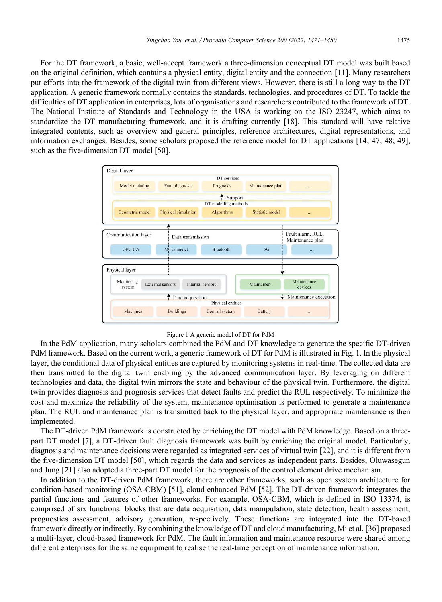For the DT framework, a basic, well-accept framework a three-dimension conceptual DT model was built based on the original definition, which contains a physical entity, digital entity and the connection [11]. Many researchers put efforts into the framework of the digital twin from different views. However, there is still a long way to the DT application. A generic framework normally contains the standards, technologies, and procedures of DT. To tackle the difficulties of DT application in enterprises, lots of organisations and researchers contributed to the framework of DT. The National Institute of Standards and Technology in the USA is working on the ISO 23247, which aims to standardize the DT manufacturing framework, and it is drafting currently [18]. This standard will have relative integrated contents, such as overview and general principles, reference architectures, digital representations, and information exchanges. Besides, some scholars proposed the reference model for DT applications [14; 47; 48; 49], such as the five-dimension DT model [50].



#### Figure 1 A generic model of DT for PdM

In the PdM application, many scholars combined the PdM and DT knowledge to generate the specific DT-driven PdM framework. Based on the current work, a generic framework of DT for PdM is illustrated in Fig. 1. In the physical layer, the conditional data of physical entities are captured by monitoring systems in real-time. The collected data are then transmitted to the digital twin enabling by the advanced communication layer. By leveraging on different technologies and data, the digital twin mirrors the state and behaviour of the physical twin. Furthermore, the digital twin provides diagnosis and prognosis services that detect faults and predict the RUL respectively. To minimize the cost and maximize the reliability of the system, maintenance optimisation is performed to generate a maintenance plan. The RUL and maintenance plan is transmitted back to the physical layer, and appropriate maintenance is then implemented.

The DT-driven PdM framework is constructed by enriching the DT model with PdM knowledge. Based on a threepart DT model [7], a DT-driven fault diagnosis framework was built by enriching the original model. Particularly, diagnosis and maintenance decisions were regarded as integrated services of virtual twin [22], and it is different from the five-dimension DT model [50], which regards the data and services as independent parts. Besides, Oluwasegun and Jung [21] also adopted a three-part DT model for the prognosis of the control element drive mechanism.

In addition to the DT-driven PdM framework, there are other frameworks, such as open system architecture for condition-based monitoring (OSA-CBM) [51], cloud enhanced PdM [52]. The DT-driven framework integrates the partial functions and features of other frameworks. For example, OSA-CBM, which is defined in ISO 13374, is comprised of six functional blocks that are data acquisition, data manipulation, state detection, health assessment, prognostics assessment, advisory generation, respectively. These functions are integrated into the DT-based framework directly or indirectly. By combining the knowledge of DT and cloud manufacturing, Mi et al. [36] proposed a multi-layer, cloud-based framework for PdM. The fault information and maintenance resource were shared among different enterprises for the same equipment to realise the real-time perception of maintenance information.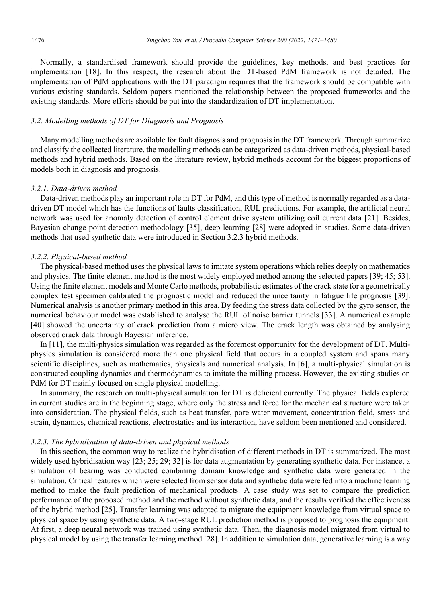Normally, a standardised framework should provide the guidelines, key methods, and best practices for implementation [18]. In this respect, the research about the DT-based PdM framework is not detailed. The implementation of PdM applications with the DT paradigm requires that the framework should be compatible with various existing standards. Seldom papers mentioned the relationship between the proposed frameworks and the existing standards. More efforts should be put into the standardization of DT implementation.

#### *3.2. Modelling methods of DT for Diagnosis and Prognosis*

Many modelling methods are available for fault diagnosis and prognosis in the DT framework. Through summarize and classify the collected literature, the modelling methods can be categorized as data-driven methods, physical-based methods and hybrid methods. Based on the literature review, hybrid methods account for the biggest proportions of models both in diagnosis and prognosis.

#### *3.2.1. Data-driven method*

Data-driven methods play an important role in DT for PdM, and this type of method is normally regarded as a datadriven DT model which has the functions of faults classification, RUL predictions. For example, the artificial neural network was used for anomaly detection of control element drive system utilizing coil current data [21]. Besides, Bayesian change point detection methodology [35], deep learning [28] were adopted in studies. Some data-driven methods that used synthetic data were introduced in Section 3.2.3 hybrid methods.

#### *3.2.2. Physical-based method*

The physical-based method uses the physical laws to imitate system operations which relies deeply on mathematics and physics. The finite element method is the most widely employed method among the selected papers [39; 45; 53]. Using the finite element models and Monte Carlo methods, probabilistic estimates of the crack state for a geometrically complex test specimen calibrated the prognostic model and reduced the uncertainty in fatigue life prognosis [39]. Numerical analysis is another primary method in this area. By feeding the stress data collected by the gyro sensor, the numerical behaviour model was established to analyse the RUL of noise barrier tunnels [33]. A numerical example [40] showed the uncertainty of crack prediction from a micro view. The crack length was obtained by analysing observed crack data through Bayesian inference.

In [11], the multi-physics simulation was regarded as the foremost opportunity for the development of DT. Multiphysics simulation is considered more than one physical field that occurs in a coupled system and spans many scientific disciplines, such as mathematics, physicals and numerical analysis. In [6], a multi-physical simulation is constructed coupling dynamics and thermodynamics to imitate the milling process. However, the existing studies on PdM for DT mainly focused on single physical modelling.

In summary, the research on multi-physical simulation for DT is deficient currently. The physical fields explored in current studies are in the beginning stage, where only the stress and force for the mechanical structure were taken into consideration. The physical fields, such as heat transfer, pore water movement, concentration field, stress and strain, dynamics, chemical reactions, electrostatics and its interaction, have seldom been mentioned and considered.

#### *3.2.3. The hybridisation of data-driven and physical methods*

In this section, the common way to realize the hybridisation of different methods in DT is summarized. The most widely used hybridisation way [23; 25; 29; 32] is for data augmentation by generating synthetic data. For instance, a simulation of bearing was conducted combining domain knowledge and synthetic data were generated in the simulation. Critical features which were selected from sensor data and synthetic data were fed into a machine learning method to make the fault prediction of mechanical products. A case study was set to compare the prediction performance of the proposed method and the method without synthetic data, and the results verified the effectiveness of the hybrid method [25]. Transfer learning was adapted to migrate the equipment knowledge from virtual space to physical space by using synthetic data. A two-stage RUL prediction method is proposed to prognosis the equipment. At first, a deep neural network was trained using synthetic data. Then, the diagnosis model migrated from virtual to physical model by using the transfer learning method [28]. In addition to simulation data, generative learning is a way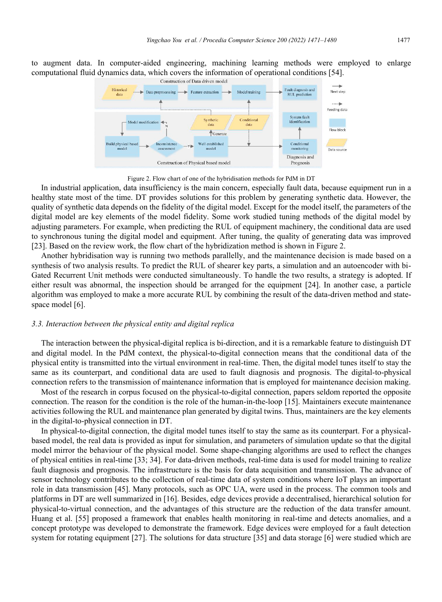to augment data. In computer-aided engineering, machining learning methods were employed to enlarge computational fluid dynamics data, which covers the information of operational conditions [54].



Figure 2. Flow chart of one of the hybridisation methods for PdM in DT

In industrial application, data insufficiency is the main concern, especially fault data, because equipment run in a healthy state most of the time. DT provides solutions for this problem by generating synthetic data. However, the quality of synthetic data depends on the fidelity of the digital model. Except for the model itself, the parameters of the digital model are key elements of the model fidelity. Some work studied tuning methods of the digital model by adjusting parameters. For example, when predicting the RUL of equipment machinery, the conditional data are used to synchronous tuning the digital model and equipment. After tuning, the quality of generating data was improved [23]. Based on the review work, the flow chart of the hybridization method is shown in Figure 2.

Another hybridisation way is running two methods parallelly, and the maintenance decision is made based on a synthesis of two analysis results. To predict the RUL of shearer key parts, a simulation and an autoencoder with bi-Gated Recurrent Unit methods were conducted simultaneously. To handle the two results, a strategy is adopted. If either result was abnormal, the inspection should be arranged for the equipment [24]. In another case, a particle algorithm was employed to make a more accurate RUL by combining the result of the data-driven method and statespace model [6].

#### *3.3. Interaction between the physical entity and digital replica*

The interaction between the physical-digital replica is bi-direction, and it is a remarkable feature to distinguish DT and digital model. In the PdM context, the physical-to-digital connection means that the conditional data of the physical entity is transmitted into the virtual environment in real-time. Then, the digital model tunes itself to stay the same as its counterpart, and conditional data are used to fault diagnosis and prognosis. The digital-to-physical connection refers to the transmission of maintenance information that is employed for maintenance decision making.

Most of the research in corpus focused on the physical-to-digital connection, papers seldom reported the opposite connection. The reason for the condition is the role of the human-in-the-loop [15]. Maintainers execute maintenance activities following the RUL and maintenance plan generated by digital twins. Thus, maintainers are the key elements in the digital-to-physical connection in DT.

In physical-to-digital connection, the digital model tunes itself to stay the same as its counterpart. For a physicalbased model, the real data is provided as input for simulation, and parameters of simulation update so that the digital model mirror the behaviour of the physical model. Some shape-changing algorithms are used to reflect the changes of physical entities in real-time [33; 34]. For data-driven methods, real-time data is used for model training to realize fault diagnosis and prognosis. The infrastructure is the basis for data acquisition and transmission. The advance of sensor technology contributes to the collection of real-time data of system conditions where IoT plays an important role in data transmission [45]. Many protocols, such as OPC UA, were used in the process. The common tools and platforms in DT are well summarized in [16]. Besides, edge devices provide a decentralised, hierarchical solution for physical-to-virtual connection, and the advantages of this structure are the reduction of the data transfer amount. Huang et al. [55] proposed a framework that enables health monitoring in real-time and detects anomalies, and a concept prototype was developed to demonstrate the framework. Edge devices were employed for a fault detection system for rotating equipment [27]. The solutions for data structure [35] and data storage [6] were studied which are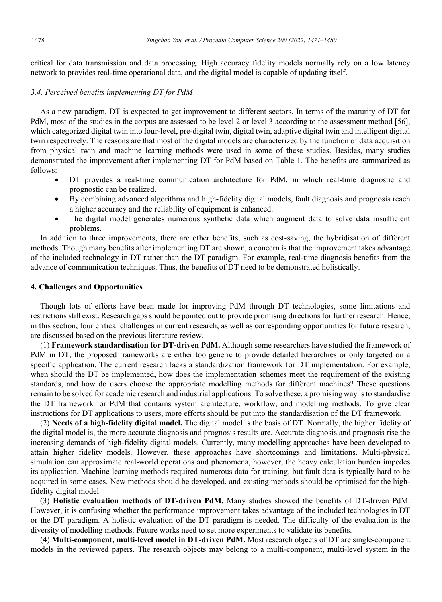critical for data transmission and data processing. High accuracy fidelity models normally rely on a low latency network to provides real-time operational data, and the digital model is capable of updating itself.

#### *3.4. Perceived benefits implementing DT for PdM*

As a new paradigm, DT is expected to get improvement to different sectors. In terms of the maturity of DT for PdM, most of the studies in the corpus are assessed to be level 2 or level 3 according to the assessment method [56], which categorized digital twin into four-level, pre-digital twin, digital twin, adaptive digital twin and intelligent digital twin respectively. The reasons are that most of the digital models are characterized by the function of data acquisition from physical twin and machine learning methods were used in some of these studies. Besides, many studies demonstrated the improvement after implementing DT for PdM based on Table 1. The benefits are summarized as follows:

- DT provides a real-time communication architecture for PdM, in which real-time diagnostic and prognostic can be realized.
- By combining advanced algorithms and high-fidelity digital models, fault diagnosis and prognosis reach a higher accuracy and the reliability of equipment is enhanced.
- The digital model generates numerous synthetic data which augment data to solve data insufficient problems.

In addition to three improvements, there are other benefits, such as cost-saving, the hybridisation of different methods. Though many benefits after implementing DT are shown, a concern is that the improvement takes advantage of the included technology in DT rather than the DT paradigm. For example, real-time diagnosis benefits from the advance of communication techniques. Thus, the benefits of DT need to be demonstrated holistically.

#### **4. Challenges and Opportunities**

Though lots of efforts have been made for improving PdM through DT technologies, some limitations and restrictions still exist. Research gaps should be pointed out to provide promising directions for further research. Hence, in this section, four critical challenges in current research, as well as corresponding opportunities for future research, are discussed based on the previous literature review.

(1) **Framework standardisation for DT-driven PdM.** Although some researchers have studied the framework of PdM in DT, the proposed frameworks are either too generic to provide detailed hierarchies or only targeted on a specific application. The current research lacks a standardization framework for DT implementation. For example, when should the DT be implemented, how does the implementation schemes meet the requirement of the existing standards, and how do users choose the appropriate modelling methods for different machines? These questions remain to be solved for academic research and industrial applications. To solve these, a promising way is to standardise the DT framework for PdM that contains system architecture, workflow, and modelling methods. To give clear instructions for DT applications to users, more efforts should be put into the standardisation of the DT framework.

(2) **Needs of a high-fidelity digital model.** The digital model is the basis of DT. Normally, the higher fidelity of the digital model is, the more accurate diagnosis and prognosis results are. Accurate diagnosis and prognosis rise the increasing demands of high-fidelity digital models. Currently, many modelling approaches have been developed to attain higher fidelity models. However, these approaches have shortcomings and limitations. Multi-physical simulation can approximate real-world operations and phenomena, however, the heavy calculation burden impedes its application. Machine learning methods required numerous data for training, but fault data is typically hard to be acquired in some cases. New methods should be developed, and existing methods should be optimised for the highfidelity digital model.

(3) **Holistic evaluation methods of DT-driven PdM.** Many studies showed the benefits of DT-driven PdM. However, it is confusing whether the performance improvement takes advantage of the included technologies in DT or the DT paradigm. A holistic evaluation of the DT paradigm is needed. The difficulty of the evaluation is the diversity of modelling methods. Future works need to set more experiments to validate its benefits.

(4) **Multi-component, multi-level model in DT-driven PdM.** Most research objects of DT are single-component models in the reviewed papers. The research objects may belong to a multi-component, multi-level system in the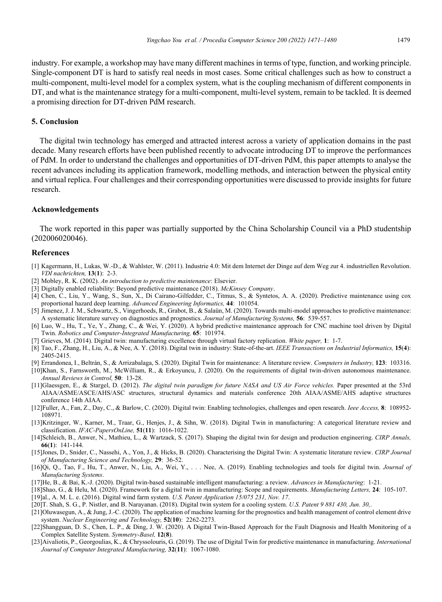industry. For example, a workshop may have many different machines in terms of type, function, and working principle. Single-component DT is hard to satisfy real needs in most cases. Some critical challenges such as how to construct a multi-component, multi-level model for a complex system, what is the coupling mechanism of different components in

DT, and what is the maintenance strategy for a multi-component, multi-level system, remain to be tackled. It is deemed a promising direction for DT-driven PdM research.

### **5. Conclusion**

The digital twin technology has emerged and attracted interest across a variety of application domains in the past decade. Many research efforts have been published recently to advocate introducing DT to improve the performances of PdM. In order to understand the challenges and opportunities of DT-driven PdM, this paper attempts to analyse the recent advances including its application framework, modelling methods, and interaction between the physical entity and virtual replica. Four challenges and their corresponding opportunities were discussed to provide insights for future research.

#### **Acknowledgements**

The work reported in this paper was partially supported by the China Scholarship Council via a PhD studentship (202006020046).

#### **References**

- [1] Kagermann, H., Lukas, W.-D., & Wahlster, W. (2011). Industrie 4.0: Mit dem Internet der Dinge auf dem Weg zur 4. industriellen Revolution. *VDI nachrichten,* **13**(**1**): 2-3.
- [2] Mobley, R. K. (2002). *An introduction to predictive maintenance*: Elsevier.
- [3] Digitally enabled reliability: Beyond predictive maintenance (2018). *McKinsey Company*.
- [4] Chen, C., Liu, Y., Wang, S., Sun, X., Di Cairano-Gilfedder, C., Titmus, S., & Syntetos, A. A. (2020). Predictive maintenance using cox proportional hazard deep learning. *Advanced Engineering Informatics,* **44**: 101054.
- [5] Jimenez, J. J. M., Schwartz, S., Vingerhoeds, R., Grabot, B., & Salaün, M. (2020). Towards multi-model approaches to predictive maintenance: A systematic literature survey on diagnostics and prognostics. *Journal of Manufacturing Systems,* **56**: 539-557.
- [6] Luo, W., Hu, T., Ye, Y., Zhang, C., & Wei, Y. (2020). A hybrid predictive maintenance approach for CNC machine tool driven by Digital Twin. *Robotics and Computer-Integrated Manufacturing,* **65**: 101974.
- [7] Grieves, M. (2014). Digital twin: manufacturing excellence through virtual factory replication. *White paper,* **1**: 1-7.
- [8] Tao, F., Zhang, H., Liu, A., & Nee, A. Y. (2018). Digital twin in industry: State-of-the-art. *IEEE Transactions on Industrial Informatics,* **15**(**4**): 2405-2415.
- [9] Errandonea, I., Beltrán, S., & Arrizabalaga, S. (2020). Digital Twin for maintenance: A literature review. *Computers in Industry,* **123**: 103316.
- [10]Khan, S., Farnsworth, M., McWilliam, R., & Erkoyuncu, J. (2020). On the requirements of digital twin-driven autonomous maintenance. *Annual Reviews in Control,* **50**: 13-28.
- [11]Glaessgen, E., & Stargel, D. (2012). *The digital twin paradigm for future NASA and US Air Force vehicles.* Paper presented at the 53rd AIAA/ASME/ASCE/AHS/ASC structures, structural dynamics and materials conference 20th AIAA/ASME/AHS adaptive structures conference 14th AIAA.
- [12]Fuller, A., Fan, Z., Day, C., & Barlow, C. (2020). Digital twin: Enabling technologies, challenges and open research. *Ieee Access,* **8**: 108952- 108971.
- [13]Kritzinger, W., Karner, M., Traar, G., Henjes, J., & Sihn, W. (2018). Digital Twin in manufacturing: A categorical literature review and classification. *IFAC-PapersOnLine,* **51**(**11**): 1016-1022.
- [14]Schleich, B., Anwer, N., Mathieu, L., & Wartzack, S. (2017). Shaping the digital twin for design and production engineering. *CIRP Annals,*  **66**(**1**): 141-144.
- [15]Jones, D., Snider, C., Nassehi, A., Yon, J., & Hicks, B. (2020). Characterising the Digital Twin: A systematic literature review. *CIRP Journal of Manufacturing Science and Technology,* **29**: 36-52.
- [16]Qi, Q., Tao, F., Hu, T., Anwer, N., Liu, A., Wei, Y., . . . Nee, A. (2019). Enabling technologies and tools for digital twin. *Journal of Manufacturing Systems*.
- [17]He, B., & Bai, K.-J. (2020). Digital twin-based sustainable intelligent manufacturing: a review. *Advances in Manufacturing*: 1-21.
- [18]Shao, G., & Helu, M. (2020). Framework for a digital twin in manufacturing: Scope and requirements. *Manufacturing Letters,* **24**: 105-107.
- [19]al., A. M. L. e. (2016). Digital wind farm system. *U.S. Patent Application 15/075 231, Nov. 17*.
- [20]T. Shah, S. G., P. Nistler, and B. Narayanan. (2018). Digital twin system for a cooling system. *U.S. Patent 9 881 430, Jun. 30,*.
- [21]Oluwasegun, A., & Jung, J.-C. (2020). The application of machine learning for the prognostics and health management of control element drive system. *Nuclear Engineering and Technology,* **52**(**10**): 2262-2273.
- [22]Shangguan, D. S., Chen, L. P., & Ding, J. W. (2020). A Digital Twin-Based Approach for the Fault Diagnosis and Health Monitoring of a Complex Satellite System. *Symmetry-Basel,* **12**(**8**).
- [23]Aivaliotis, P., Georgoulias, K., & Chryssolouris, G. (2019). The use of Digital Twin for predictive maintenance in manufacturing. *International Journal of Computer Integrated Manufacturing,* **32**(**11**): 1067-1080.